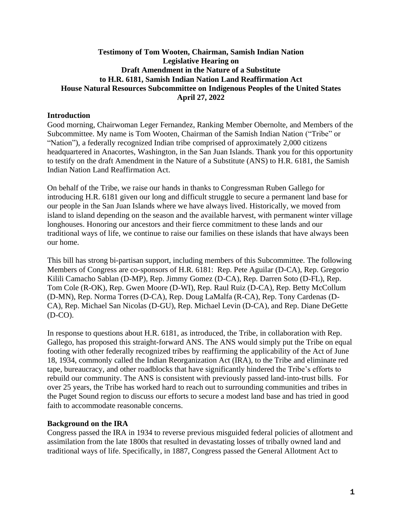## **Testimony of Tom Wooten, Chairman, Samish Indian Nation Legislative Hearing on Draft Amendment in the Nature of a Substitute to H.R. 6181, Samish Indian Nation Land Reaffirmation Act House Natural Resources Subcommittee on Indigenous Peoples of the United States April 27, 2022**

## **Introduction**

Good morning, Chairwoman Leger Fernandez, Ranking Member Obernolte, and Members of the Subcommittee. My name is Tom Wooten, Chairman of the Samish Indian Nation ("Tribe" or "Nation"), a federally recognized Indian tribe comprised of approximately 2,000 citizens headquartered in Anacortes, Washington, in the San Juan Islands. Thank you for this opportunity to testify on the draft Amendment in the Nature of a Substitute (ANS) to H.R. 6181, the Samish Indian Nation Land Reaffirmation Act.

On behalf of the Tribe, we raise our hands in thanks to Congressman Ruben Gallego for introducing H.R. 6181 given our long and difficult struggle to secure a permanent land base for our people in the San Juan Islands where we have always lived. Historically, we moved from island to island depending on the season and the available harvest, with permanent winter village longhouses. Honoring our ancestors and their fierce commitment to these lands and our traditional ways of life, we continue to raise our families on these islands that have always been our home.

This bill has strong bi-partisan support, including members of this Subcommittee. The following Members of Congress are co-sponsors of H.R. 6181: Rep. Pete Aguilar (D-CA), Rep. Gregorio Kilili Camacho Sablan (D-MP), Rep. Jimmy Gomez (D-CA), Rep. Darren Soto (D-FL), Rep. Tom Cole (R-OK), Rep. Gwen Moore (D-WI), Rep. Raul Ruiz (D-CA), Rep. Betty McCollum (D-MN), Rep. Norma Torres (D-CA), Rep. Doug LaMalfa (R-CA), Rep. Tony Cardenas (D-CA), Rep. Michael San Nicolas (D-GU), Rep. Michael Levin (D-CA), and Rep. Diane DeGette (D-CO).

In response to questions about H.R. 6181, as introduced, the Tribe, in collaboration with Rep. Gallego, has proposed this straight-forward ANS. The ANS would simply put the Tribe on equal footing with other federally recognized tribes by reaffirming the applicability of the Act of June 18, 1934, commonly called the Indian Reorganization Act (IRA), to the Tribe and eliminate red tape, bureaucracy, and other roadblocks that have significantly hindered the Tribe's efforts to rebuild our community. The ANS is consistent with previously passed land-into-trust bills. For over 25 years, the Tribe has worked hard to reach out to surrounding communities and tribes in the Puget Sound region to discuss our efforts to secure a modest land base and has tried in good faith to accommodate reasonable concerns.

## **Background on the IRA**

Congress passed the IRA in 1934 to reverse previous misguided federal policies of allotment and assimilation from the late 1800s that resulted in devastating losses of tribally owned land and traditional ways of life. Specifically, in 1887, Congress passed the General Allotment Act to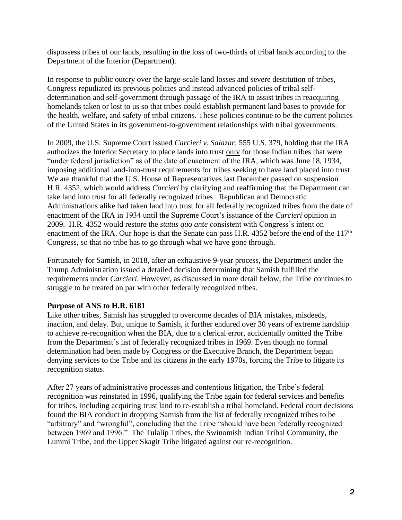dispossess tribes of our lands, resulting in the loss of two-thirds of tribal lands according to the Department of the Interior (Department).

In response to public outcry over the large-scale land losses and severe destitution of tribes, Congress repudiated its previous policies and instead advanced policies of tribal selfdetermination and self-government through passage of the IRA to assist tribes in reacquiring homelands taken or lost to us so that tribes could establish permanent land bases to provide for the health, welfare, and safety of tribal citizens. These policies continue to be the current policies of the United States in its government-to-government relationships with tribal governments.

In 2009, the U.S. Supreme Court issued *Carcieri v. Salazar*, 555 U.S. 379, holding that the IRA authorizes the Interior Secretary to place lands into trust only for those Indian tribes that were "under federal jurisdiction" as of the date of enactment of the IRA, which was June 18, 1934, imposing additional land-into-trust requirements for tribes seeking to have land placed into trust. We are thankful that the U.S. House of Representatives last December passed on suspension H.R. 4352, which would address *Carcieri* by clarifying and reaffirming that the Department can take land into trust for all federally recognized tribes. Republican and Democratic Administrations alike had taken land into trust for all federally recognized tribes from the date of enactment of the IRA in 1934 until the Supreme Court's issuance of the *Carcieri* opinion in 2009. H.R. 4352 would restore the *status quo ante* consistent with Congress's intent on enactment of the IRA. Our hope is that the Senate can pass H.R. 4352 before the end of the 117<sup>th</sup> Congress, so that no tribe has to go through what we have gone through.

Fortunately for Samish, in 2018, after an exhaustive 9-year process, the Department under the Trump Administration issued a detailed decision determining that Samish fulfilled the requirements under *Carcieri*. However, as discussed in more detail below, the Tribe continues to struggle to be treated on par with other federally recognized tribes.

#### **Purpose of ANS to H.R. 6181**

Like other tribes, Samish has struggled to overcome decades of BIA mistakes, misdeeds, inaction, and delay. But, unique to Samish, it further endured over 30 years of extreme hardship to achieve re-recognition when the BIA, due to a clerical error, accidentally omitted the Tribe from the Department's list of federally recognized tribes in 1969. Even though no formal determination had been made by Congress or the Executive Branch, the Department began denying services to the Tribe and its citizens in the early 1970s, forcing the Tribe to litigate its recognition status.

After 27 years of administrative processes and contentious litigation, the Tribe's federal recognition was reinstated in 1996, qualifying the Tribe again for federal services and benefits for tribes, including acquiring trust land to re-establish a tribal homeland. Federal court decisions found the BIA conduct in dropping Samish from the list of federally recognized tribes to be "arbitrary" and "wrongful", concluding that the Tribe "should have been federally recognized between 1969 and 1996." The Tulalip Tribes, the Swinomish Indian Tribal Community, the Lummi Tribe, and the Upper Skagit Tribe litigated against our re-recognition.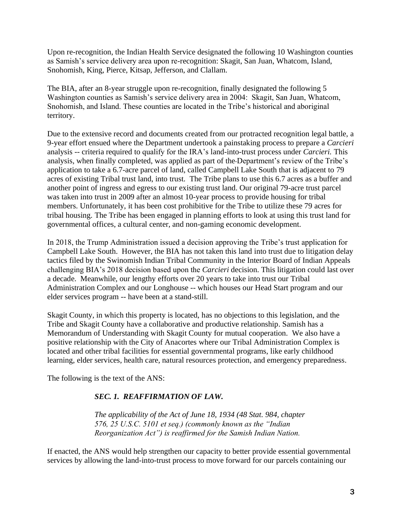Upon re-recognition, the Indian Health Service designated the following 10 Washington counties as Samish's service delivery area upon re-recognition: Skagit, San Juan, Whatcom, Island, Snohomish, King, Pierce, Kitsap, Jefferson, and Clallam.

The BIA, after an 8-year struggle upon re-recognition, finally designated the following 5 Washington counties as Samish's service delivery area in 2004: Skagit, San Juan, Whatcom, Snohomish, and Island. These counties are located in the Tribe's historical and aboriginal territory.

Due to the extensive record and documents created from our protracted recognition legal battle, a 9-year effort ensued where the Department undertook a painstaking process to prepare a *Carcieri* analysis -- criteria required to qualify for the IRA's land-into-trust process under *Carcieri.* This analysis, when finally completed, was applied as part of the Department's review of the Tribe's application to take a 6.7-acre parcel of land, called Campbell Lake South that is adjacent to 79 acres of existing Tribal trust land, into trust. The Tribe plans to use this 6.7 acres as a buffer and another point of ingress and egress to our existing trust land. Our original 79-acre trust parcel was taken into trust in 2009 after an almost 10-year process to provide housing for tribal members. Unfortunately, it has been cost prohibitive for the Tribe to utilize these 79 acres for tribal housing. The Tribe has been engaged in planning efforts to look at using this trust land for governmental offices, a cultural center, and non-gaming economic development.

In 2018, the Trump Administration issued a decision approving the Tribe's trust application for Campbell Lake South. However, the BIA has not taken this land into trust due to litigation delay tactics filed by the Swinomish Indian Tribal Community in the Interior Board of Indian Appeals challenging BIA's 2018 decision based upon the *Carcieri* decision. This litigation could last over a decade. Meanwhile, our lengthy efforts over 20 years to take into trust our Tribal Administration Complex and our Longhouse -- which houses our Head Start program and our elder services program -- have been at a stand-still.

Skagit County, in which this property is located, has no objections to this legislation, and the Tribe and Skagit County have a collaborative and productive relationship. Samish has a Memorandum of Understanding with Skagit County for mutual cooperation. We also have a positive relationship with the City of Anacortes where our Tribal Administration Complex is located and other tribal facilities for essential governmental programs, like early childhood learning, elder services, health care, natural resources protection, and emergency preparedness.

The following is the text of the ANS:

# *SEC. 1. REAFFIRMATION OF LAW.*

*The applicability of the Act of June 18, 1934 (48 Stat. 984, chapter 576, 25 U.S.C. 5101 et seq.) (commonly known as the "Indian Reorganization Act") is reaffirmed for the Samish Indian Nation.*

If enacted, the ANS would help strengthen our capacity to better provide essential governmental services by allowing the land-into-trust process to move forward for our parcels containing our